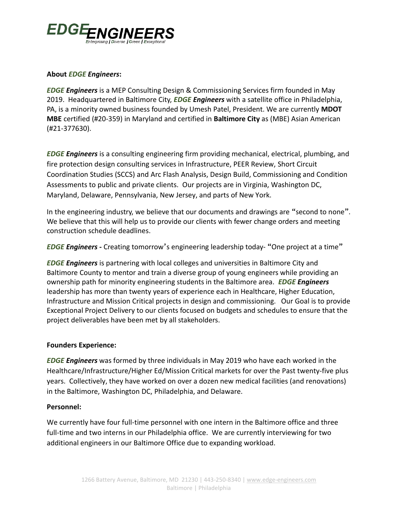

# **About** *EDGE Engineers***:**

*EDGE Engineers* is a MEP Consulting Design & Commissioning Services firm founded in May 2019. Headquartered in Baltimore City, *EDGE Engineers* with a satellite office in Philadelphia, PA, is a minority owned business founded by Umesh Patel, President. We are currently **MDOT MBE** certified (#20-359) in Maryland and certified in **Baltimore City** as (MBE) Asian American (#21-377630).

*EDGE Engineers* is a consulting engineering firm providing mechanical, electrical, plumbing, and fire protection design consulting services in Infrastructure, PEER Review, Short Circuit Coordination Studies (SCCS) and Arc Flash Analysis, Design Build, Commissioning and Condition Assessments to public and private clients. Our projects are in Virginia, Washington DC, Maryland, Delaware, Pennsylvania, New Jersey, and parts of New York.

In the engineering industry, we believe that our documents and drawings are "second to none". We believe that this will help us to provide our clients with fewer change orders and meeting construction schedule deadlines.

*EDGE Engineers* **-** Creating tomorrow's engineering leadership today- "One project at a time"

*EDGE Engineers* is partnering with local colleges and universities in Baltimore City and Baltimore County to mentor and train a diverse group of young engineers while providing an ownership path for minority engineering students in the Baltimore area. *EDGE Engineers* leadership has more than twenty years of experience each in Healthcare, Higher Education, Infrastructure and Mission Critical projects in design and commissioning. Our Goal is to provide Exceptional Project Delivery to our clients focused on budgets and schedules to ensure that the project deliverables have been met by all stakeholders.

# **Founders Experience:**

*EDGE Engineers* was formed by three individuals in May 2019 who have each worked in the Healthcare/Infrastructure/Higher Ed/Mission Critical markets for over the Past twenty-five plus years. Collectively, they have worked on over a dozen new medical facilities (and renovations) in the Baltimore, Washington DC, Philadelphia, and Delaware.

# **Personnel:**

We currently have four full-time personnel with one intern in the Baltimore office and three full-time and two interns in our Philadelphia office. We are currently interviewing for two additional engineers in our Baltimore Office due to expanding workload.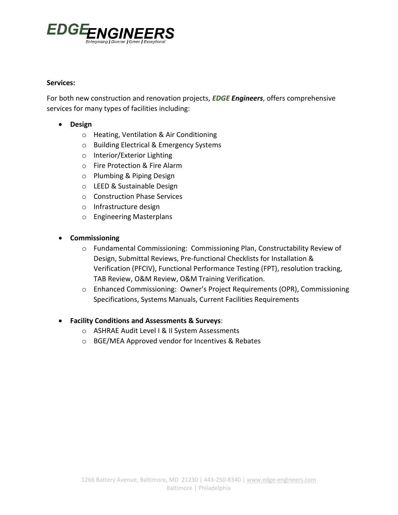

#### **Services:**

For both new construction and renovation projects, *EDGE Engineers*, offers comprehensive services for many types of facilities including:

- **Design**
	- o Heating, Ventilation & Air Conditioning
	- o Building Electrical & Emergency Systems
	- o Interior/Exterior Lighting
	- o Fire Protection & Fire Alarm
	- o Plumbing & Piping Design
	- o LEED & Sustainable Design
	- o Construction Phase Services
	- o Infrastructure design
	- o Engineering Masterplans
- **Commissioning** 
	- o Fundamental Commissioning: Commissioning Plan, Constructability Review of Design, Submittal Reviews, Pre-functional Checklists for Installation & Verification (PFCIV), Functional Performance Testing (FPT), resolution tracking, TAB Review, O&M Review, O&M Training Verification.
	- o Enhanced Commissioning: Owner's Project Requirements (OPR), Commissioning Specifications, Systems Manuals, Current Facilities Requirements
- **Facility Conditions and Assessments & Surveys**:
	- o ASHRAE Audit Level I & II System Assessments
	- o BGE/MEA Approved vendor for Incentives & Rebates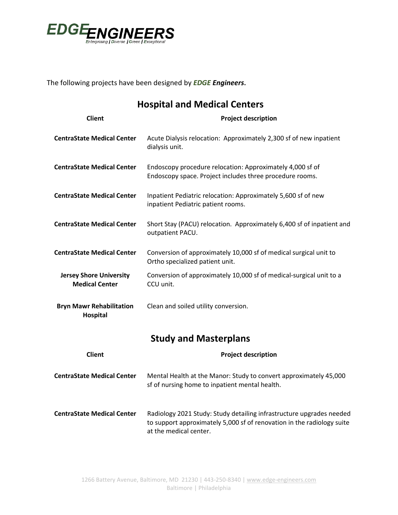

The following projects have been designed by *EDGE Engineers***.**

| <b>Hospital and Medical Centers</b>                     |                                                                                                                                                |  |
|---------------------------------------------------------|------------------------------------------------------------------------------------------------------------------------------------------------|--|
| <b>Client</b>                                           | <b>Project description</b>                                                                                                                     |  |
| <b>CentraState Medical Center</b>                       | Acute Dialysis relocation: Approximately 2,300 sf of new inpatient<br>dialysis unit.                                                           |  |
| <b>CentraState Medical Center</b>                       | Endoscopy procedure relocation: Approximately 4,000 sf of<br>Endoscopy space. Project includes three procedure rooms.                          |  |
| <b>CentraState Medical Center</b>                       | Inpatient Pediatric relocation: Approximately 5,600 sf of new<br>inpatient Pediatric patient rooms.                                            |  |
| <b>CentraState Medical Center</b>                       | Short Stay (PACU) relocation. Approximately 6,400 sf of inpatient and<br>outpatient PACU.                                                      |  |
| <b>CentraState Medical Center</b>                       | Conversion of approximately 10,000 sf of medical surgical unit to<br>Ortho specialized patient unit.                                           |  |
| <b>Jersey Shore University</b><br><b>Medical Center</b> | Conversion of approximately 10,000 sf of medical-surgical unit to a<br>CCU unit.                                                               |  |
| <b>Bryn Mawr Rehabilitation</b><br><b>Hospital</b>      | Clean and soiled utility conversion.                                                                                                           |  |
|                                                         | <b>Study and Masterplans</b>                                                                                                                   |  |
| <b>Client</b>                                           | <b>Project description</b>                                                                                                                     |  |
| <b>CentraState Medical Center</b>                       | Mental Health at the Manor: Study to convert approximately 45,000<br>sf of nursing home to inpatient mental health.                            |  |
| <b>CentraState Medical Center</b>                       | Radiology 2021 Study: Study detailing infrastructure upgrades needed<br>to support approximately 5,000 sf of renovation in the radiology suite |  |

at the medical center.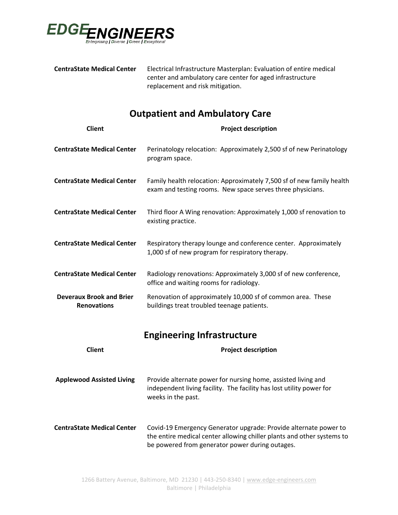

| <b>CentraState Medical Center</b> | Electrical Infrastructure Masterplan: Evaluation of entire medical |
|-----------------------------------|--------------------------------------------------------------------|
|                                   | center and ambulatory care center for aged infrastructure          |
|                                   | replacement and risk mitigation.                                   |

# **Outpatient and Ambulatory Care**

| <b>Client</b>                                         | <b>Project description</b>                                                                                                                                  |
|-------------------------------------------------------|-------------------------------------------------------------------------------------------------------------------------------------------------------------|
| <b>CentraState Medical Center</b>                     | Perinatology relocation: Approximately 2,500 sf of new Perinatology<br>program space.                                                                       |
| <b>CentraState Medical Center</b>                     | Family health relocation: Approximately 7,500 sf of new family health<br>exam and testing rooms. New space serves three physicians.                         |
| <b>CentraState Medical Center</b>                     | Third floor A Wing renovation: Approximately 1,000 sf renovation to<br>existing practice.                                                                   |
| <b>CentraState Medical Center</b>                     | Respiratory therapy lounge and conference center. Approximately<br>1,000 sf of new program for respiratory therapy.                                         |
| <b>CentraState Medical Center</b>                     | Radiology renovations: Approximately 3,000 sf of new conference,<br>office and waiting rooms for radiology.                                                 |
| <b>Deveraux Brook and Brier</b><br><b>Renovations</b> | Renovation of approximately 10,000 sf of common area. These<br>buildings treat troubled teenage patients.                                                   |
|                                                       | <b>Engineering Infrastructure</b>                                                                                                                           |
| <b>Client</b>                                         | <b>Project description</b>                                                                                                                                  |
| <b>Applewood Assisted Living</b>                      | Provide alternate power for nursing home, assisted living and<br>independent living facility. The facility has lost utility power for<br>weeks in the past. |
| <b>CentraState Medical Center</b>                     | Covid-19 Emergency Generator upgrade: Provide alternate power to<br>the entire medical center allowing chiller plants and other systems to                  |

be powered from generator power during outages.